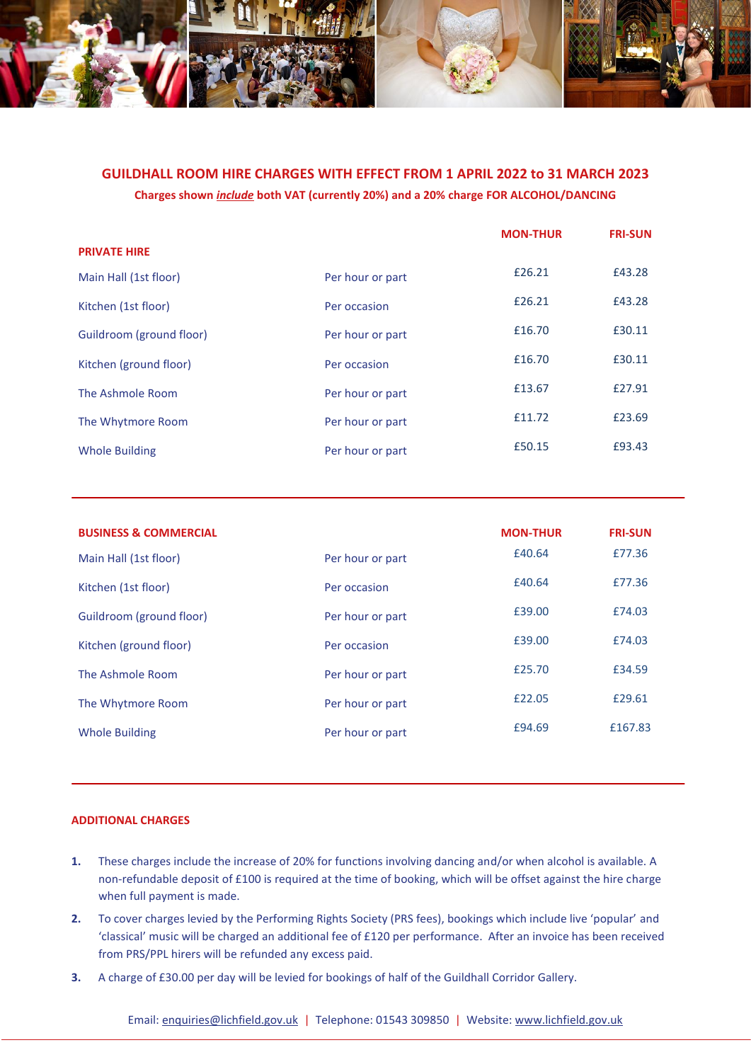

# **GUILDHALL ROOM HIRE CHARGES WITH EFFECT FROM 1 APRIL 2022 to 31 MARCH 2023 Charges shown** *include* **both VAT (currently 20%) and a 20% charge FOR ALCOHOL/DANCING**

|                          |                  | <b>MON-THUR</b> | <b>FRI-SUN</b> |
|--------------------------|------------------|-----------------|----------------|
| <b>PRIVATE HIRE</b>      |                  |                 |                |
| Main Hall (1st floor)    | Per hour or part | £26.21          | £43.28         |
| Kitchen (1st floor)      | Per occasion     | £26.21          | £43.28         |
| Guildroom (ground floor) | Per hour or part | £16.70          | £30.11         |
| Kitchen (ground floor)   | Per occasion     | £16.70          | £30.11         |
| The Ashmole Room         | Per hour or part | £13.67          | £27.91         |
| The Whytmore Room        | Per hour or part | £11.72          | £23.69         |
| <b>Whole Building</b>    | Per hour or part | £50.15          | £93.43         |

| <b>BUSINESS &amp; COMMERCIAL</b> |                  | <b>MON-THUR</b> | <b>FRI-SUN</b> |
|----------------------------------|------------------|-----------------|----------------|
| Main Hall (1st floor)            | Per hour or part | £40.64          | £77.36         |
| Kitchen (1st floor)              | Per occasion     | £40.64          | £77.36         |
| Guildroom (ground floor)         | Per hour or part | £39.00          | £74.03         |
| Kitchen (ground floor)           | Per occasion     | £39.00          | £74.03         |
| The Ashmole Room                 | Per hour or part | £25.70          | £34.59         |
| The Whytmore Room                | Per hour or part | £22.05          | £29.61         |
| <b>Whole Building</b>            | Per hour or part | £94.69          | £167.83        |

# **ADDITIONAL CHARGES**

- **1.** These charges include the increase of 20% for functions involving dancing and/or when alcohol is available. A non-refundable deposit of £100 is required at the time of booking, which will be offset against the hire charge when full payment is made.
- **2.** To cover charges levied by the Performing Rights Society (PRS fees), bookings which include live 'popular' and 'classical' music will be charged an additional fee of £120 per performance. After an invoice has been received from PRS/PPL hirers will be refunded any excess paid.
- **3.** A charge of £30.00 per day will be levied for bookings of half of the Guildhall Corridor Gallery.

Email[: enquiries@lichfield.gov.uk](mailto:enquiries@lichfield.gov.uk) | Telephone: 01543 309850 | Website[: www.lichfield.gov.uk](http://www.lichfield.gov.uk/)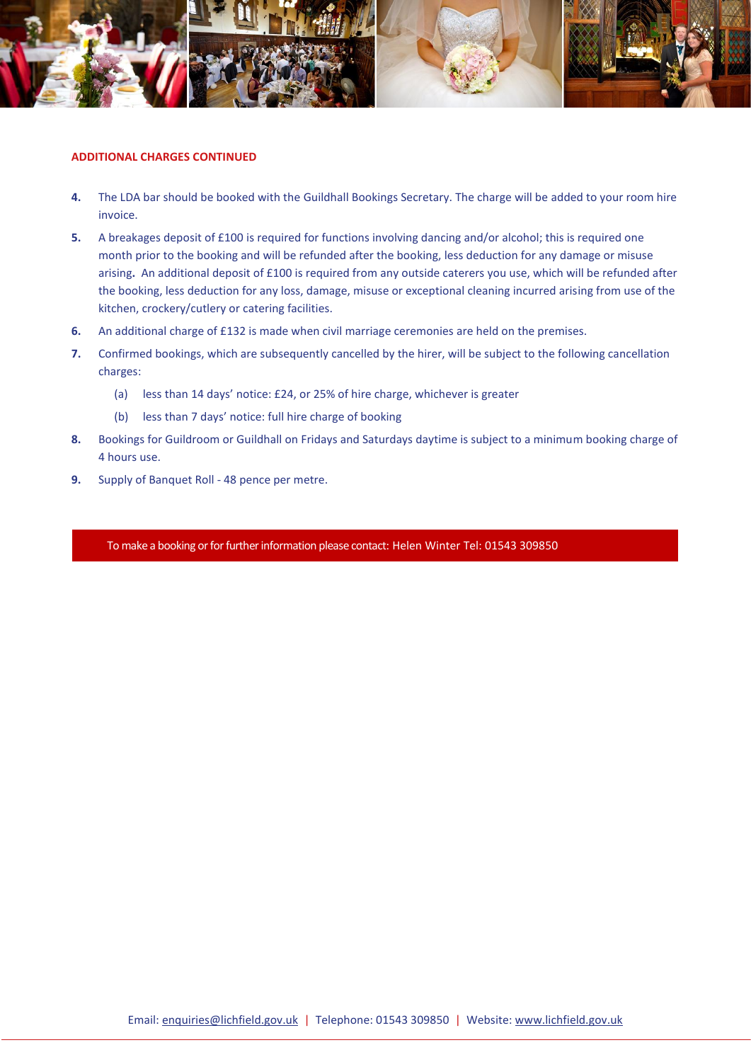

#### **ADDITIONAL CHARGES CONTINUED**

- **4.** The LDA bar should be booked with the Guildhall Bookings Secretary. The charge will be added to your room hire invoice.
- **5.** A breakages deposit of £100 is required for functions involving dancing and/or alcohol; this is required one month prior to the booking and will be refunded after the booking, less deduction for any damage or misuse arising**.** An additional deposit of £100 is required from any outside caterers you use, which will be refunded after the booking, less deduction for any loss, damage, misuse or exceptional cleaning incurred arising from use of the kitchen, crockery/cutlery or catering facilities.
- **6.** An additional charge of £132 is made when civil marriage ceremonies are held on the premises.
- **7.** Confirmed bookings, which are subsequently cancelled by the hirer, will be subject to the following cancellation charges:
	- (a) less than 14 days' notice: £24, or 25% of hire charge, whichever is greater
	- (b) less than 7 days' notice: full hire charge of booking
- **8.** Bookings for Guildroom or Guildhall on Fridays and Saturdays daytime is subject to a minimum booking charge of 4 hours use.
- **9.** Supply of Banquet Roll 48 pence per metre.

To make a booking or for further information please contact: Helen Winter Tel: 01543 309850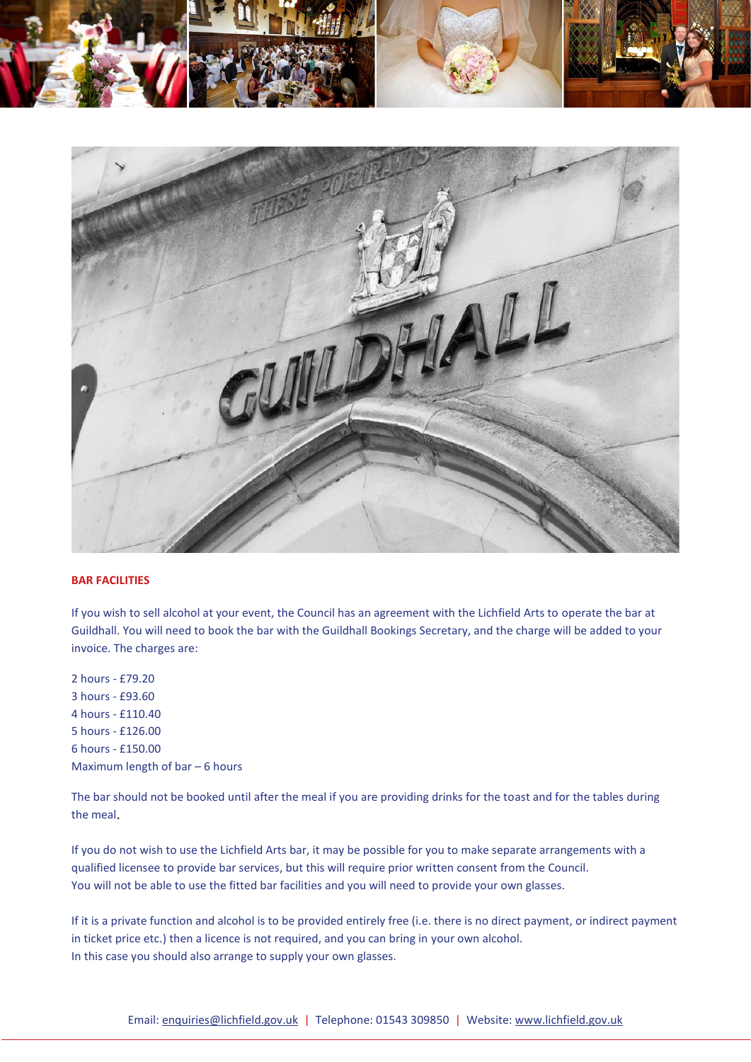



## **BAR FACILITIES**

If you wish to sell alcohol at your event, the Council has an agreement with the Lichfield Arts to operate the bar at Guildhall. You will need to book the bar with the Guildhall Bookings Secretary, and the charge will be added to your invoice. The charges are:

2 hours - £79.20 3 hours - £93.60 4 hours - £110.40 5 hours - £126.00 6 hours - £150.00 Maximum length of bar – 6 hours

The bar should not be booked until after the meal if you are providing drinks for the toast and for the tables during the meal*.* 

If you do not wish to use the Lichfield Arts bar, it may be possible for you to make separate arrangements with a qualified licensee to provide bar services, but this will require prior written consent from the Council. You will not be able to use the fitted bar facilities and you will need to provide your own glasses.

If it is a private function and alcohol is to be provided entirely free (i.e. there is no direct payment, or indirect payment in ticket price etc.) then a licence is not required, and you can bring in your own alcohol. In this case you should also arrange to supply your own glasses.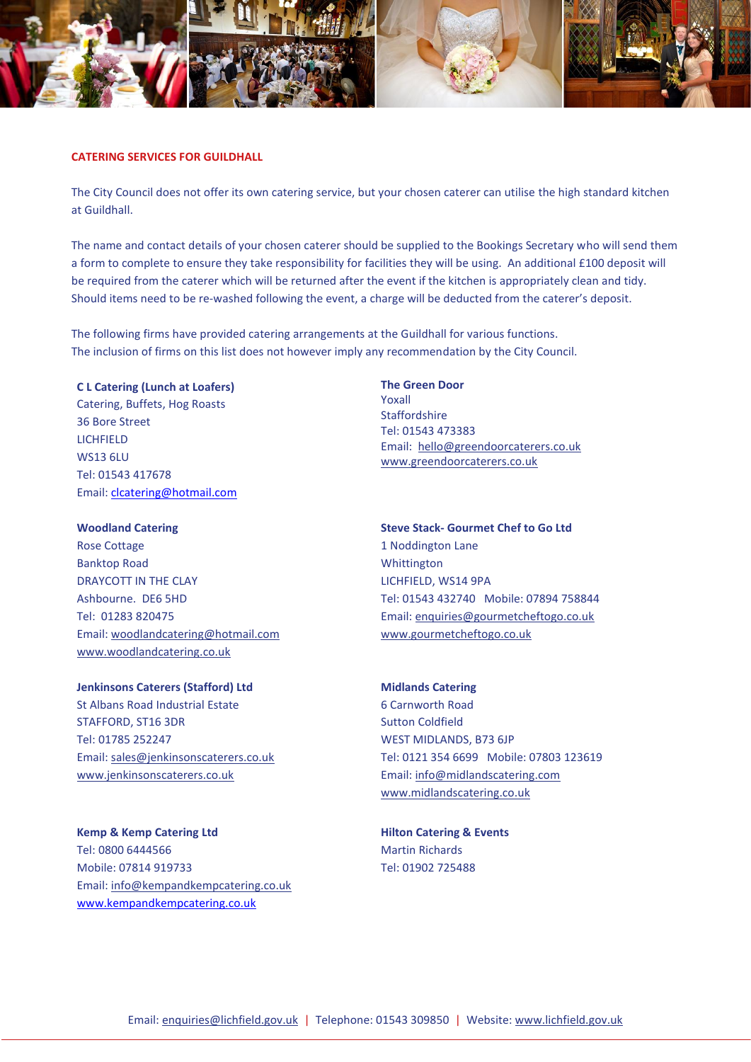

#### **CATERING SERVICES FOR GUILDHALL**

The City Council does not offer its own catering service, but your chosen caterer can utilise the high standard kitchen at Guildhall.

The name and contact details of your chosen caterer should be supplied to the Bookings Secretary who will send them a form to complete to ensure they take responsibility for facilities they will be using. An additional £100 deposit will be required from the caterer which will be returned after the event if the kitchen is appropriately clean and tidy. Should items need to be re-washed following the event, a charge will be deducted from the caterer's deposit.

The following firms have provided catering arrangements at the Guildhall for various functions. The inclusion of firms on this list does not however imply any recommendation by the City Council.

#### **C L Catering (Lunch at Loafers)**

Catering, Buffets, Hog Roasts 36 Bore Street LICHFIELD WS13 6LU Tel: 01543 417678 Email: [clcatering@hotmail.com](mailto:clcatering@hotmail.com)

#### **Woodland Catering**

Rose Cottage Banktop Road DRAYCOTT IN THE CLAY Ashbourne. DE6 5HD Tel: 01283 820475 Email: woodlandcatering@hotmail.com www.woodlandcatering.co.uk

**Jenkinsons Caterers (Stafford) Ltd** St Albans Road Industrial Estate STAFFORD, ST16 3DR Tel: 01785 252247

Email: sales@jenkinsonscaterers.co.uk www.jenkinsonscaterers.co.uk

**Kemp & Kemp Catering Ltd** Tel: 0800 6444566 Mobile: 07814 919733 Email: info@kempandkempcatering.co.uk [www.kempandkempcatering.co.uk](http://www.kempandkempcatering.co.uk/)

**The Green Door**  Yoxall Staffordshire Tel: 01543 473383 Email: hello@greendoorcaterers.co.uk www.greendoorcaterers.co.uk

# **Steve Stack- Gourmet Chef to Go Ltd** 1 Noddington Lane Whittington LICHFIELD, WS14 9PA Tel: 01543 432740 Mobile: 07894 758844 Email: enquiries@gourmetcheftogo.co.uk

# **Midlands Catering**

www.gourmetcheftogo.co.uk

6 Carnworth Road Sutton Coldfield WEST MIDLANDS, B73 6JP Tel: 0121 354 6699 Mobile: 07803 123619 Email: info@midlandscatering.com www.midlandscatering.co.uk

**Hilton Catering & Events** Martin Richards Tel: 01902 725488

Email[: enquiries@lichfield.gov.uk](mailto:enquiries@lichfield.gov.uk) | Telephone: 01543 309850 | Website[: www.lichfield.gov.uk](http://www.lichfield.gov.uk/)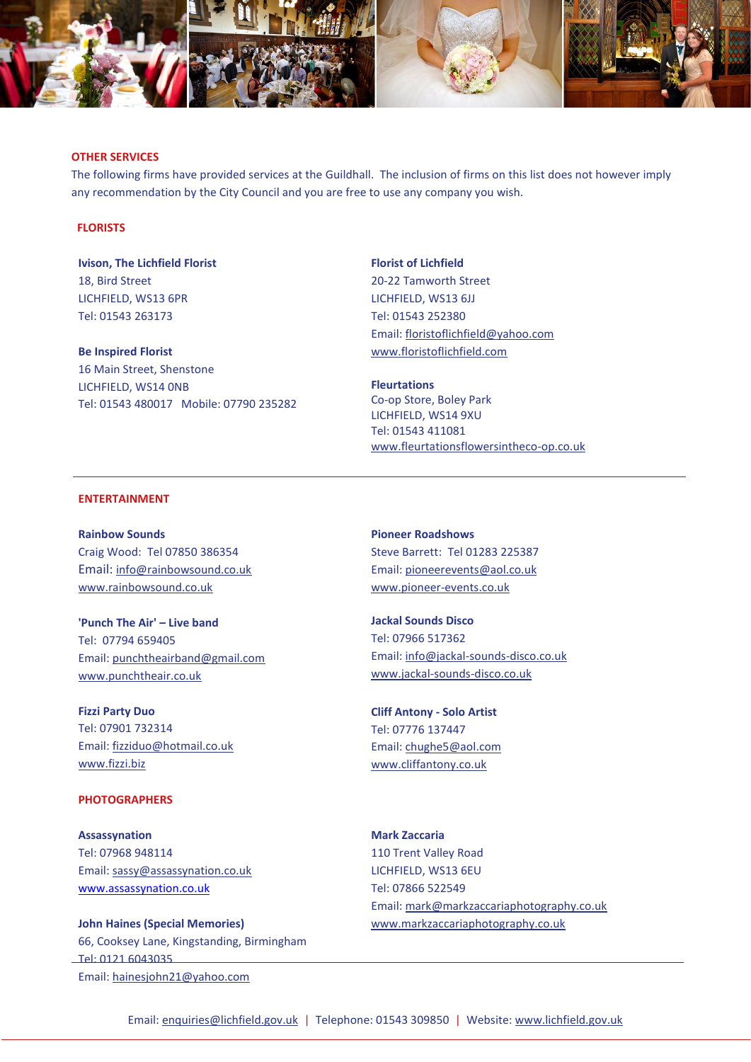

#### **OTHER SERVICES**

The following firms have provided services at the Guildhall. The inclusion of firms on this list does not however imply any recommendation by the City Council and you are free to use any company you wish.

### **FLORISTS**

**Ivison, The Lichfield Florist** 18, Bird Street LICHFIELD, WS13 6PR Tel: 01543 263173

**Be Inspired Florist** 16 Main Street, Shenstone LICHFIELD, WS14 0NB Tel: 01543 480017 Mobile: 07790 235282

**Florist of Lichfield** 20-22 Tamworth Street LICHFIELD, WS13 6JJ Tel: 01543 252380 Email: floristoflichfield@yahoo.com www.floristoflichfield.com

**Fleurtations** Co-op Store, Boley Park LICHFIELD, WS14 9XU Tel: 01543 411081 www.fleurtationsflowersintheco-op.co.uk

#### **ENTERTAINMENT**

**Rainbow Sounds**  Craig Wood: Tel 07850 386354 Email: info@rainbowsound.co.uk www.rainbowsound.co.uk

**'Punch The Air' – Live band** Tel: 07794 659405 Email: punchtheairband@gmail.com www.punchtheair.co.uk

**Fizzi Party Duo** Tel: 07901 732314 Email: fizziduo@hotmail.co.uk www.fizzi.biz

#### **PHOTOGRAPHERS**

**Assassynation** Tel: 07968 948114 Email: sassy@assassynation.co.uk [www.assassynation.co.uk](http://www.assassynation.co.uk/)

**John Haines (Special Memories)** 66, Cooksey Lane, Kingstanding, Birmingham Tel: 0121 6043035 Email: hainesjohn21@yahoo.com

**Pioneer Roadshows**  Steve Barrett: Tel 01283 225387 Email: pioneerevents@aol.co.uk www.pioneer-events.co.uk

**Jackal Sounds Disco** Tel: 07966 517362 Email: info@jackal-sounds-disco.co.uk www.jackal-sounds-disco.co.uk

**Cliff Antony - Solo Artist** Tel: 07776 137447 Email: chughe5@aol.com www.cliffantony.co.uk

**Mark Zaccaria** 110 Trent Valley Road LICHFIELD, WS13 6EU Tel: 07866 522549 Email: mark@markzaccariaphotography.co.uk www.markzaccariaphotography.co.uk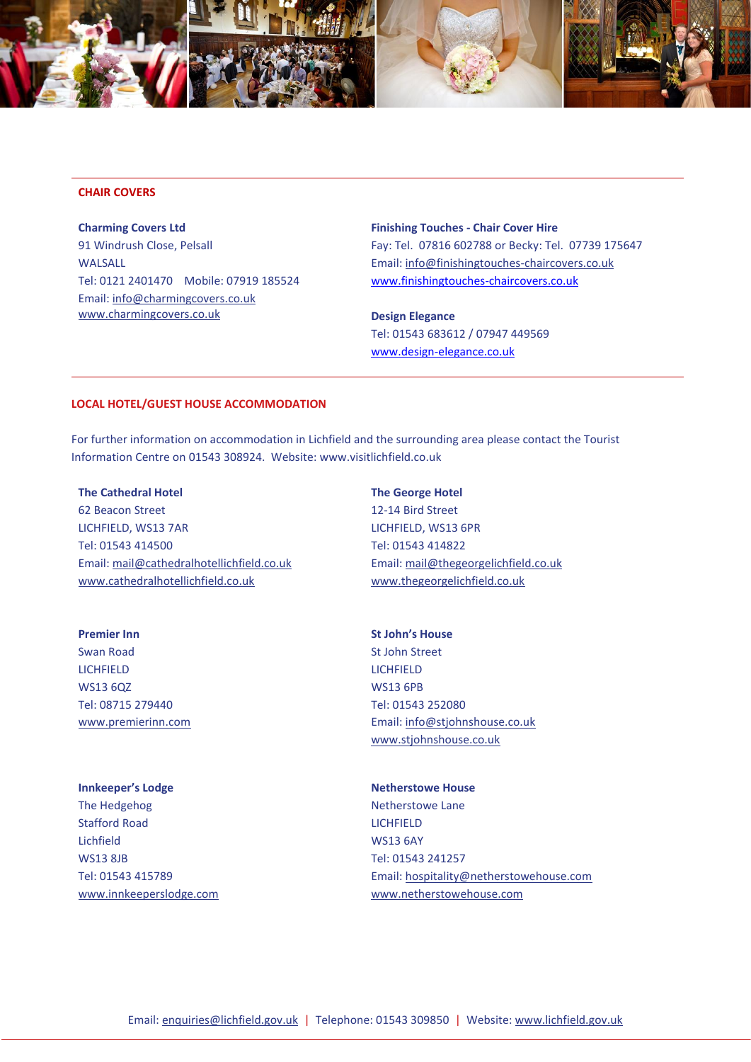

#### **CHAIR COVERS**

**Charming Covers Ltd** 91 Windrush Close, Pelsall WALSALL Tel: 0121 2401470 Mobile: 07919 185524 Email: info@charmingcovers.co.uk www.charmingcovers.co.uk

**Finishing Touches - Chair Cover Hire** Fay: Tel. 07816 602788 or Becky: Tel. 07739 175647 Email: info@finishingtouches-chaircovers.co.uk [www.finishingtouches-chaircovers.co.uk](http://www.finishingtouches-chaircovers.co.uk/)

**Design Elegance** Tel: 01543 683612 / 07947 449569 [www.design-elegance.co.uk](http://www.design-elegance.co.uk/)

#### **LOCAL HOTEL/GUEST HOUSE ACCOMMODATION**

For further information on accommodation in Lichfield and the surrounding area please contact the Tourist Information Centre on 01543 308924. Website: www.visitlichfield.co.uk

#### **The Cathedral Hotel**

62 Beacon Street LICHFIELD, WS13 7AR Tel: 01543 414500 Email: mail@cathedralhotellichfield.co.uk www.cathedralhotellichfield.co.uk

**The George Hotel** 12-14 Bird Street LICHFIELD, WS13 6PR Tel: 01543 414822 Email: mail@thegeorgelichfield.co.uk www.thegeorgelichfield.co.uk

**Premier Inn** Swan Road LICHFIELD WS13 6QZ Tel: 08715 279440 www.premierinn.com

#### **Innkeeper's Lodge**

The Hedgehog Stafford Road Lichfield WS13 8JB Tel: 01543 415789 www.innkeeperslodge.com **St John's House** St John Street LICHFIELD WS13 6PB Tel: 01543 252080 Email: info@stjohnshouse.co.uk www.stjohnshouse.co.uk

#### **Netherstowe House**

Netherstowe Lane LICHFIELD WS13 6AY Tel: 01543 241257 Email: hospitality@netherstowehouse.com www.netherstowehouse.com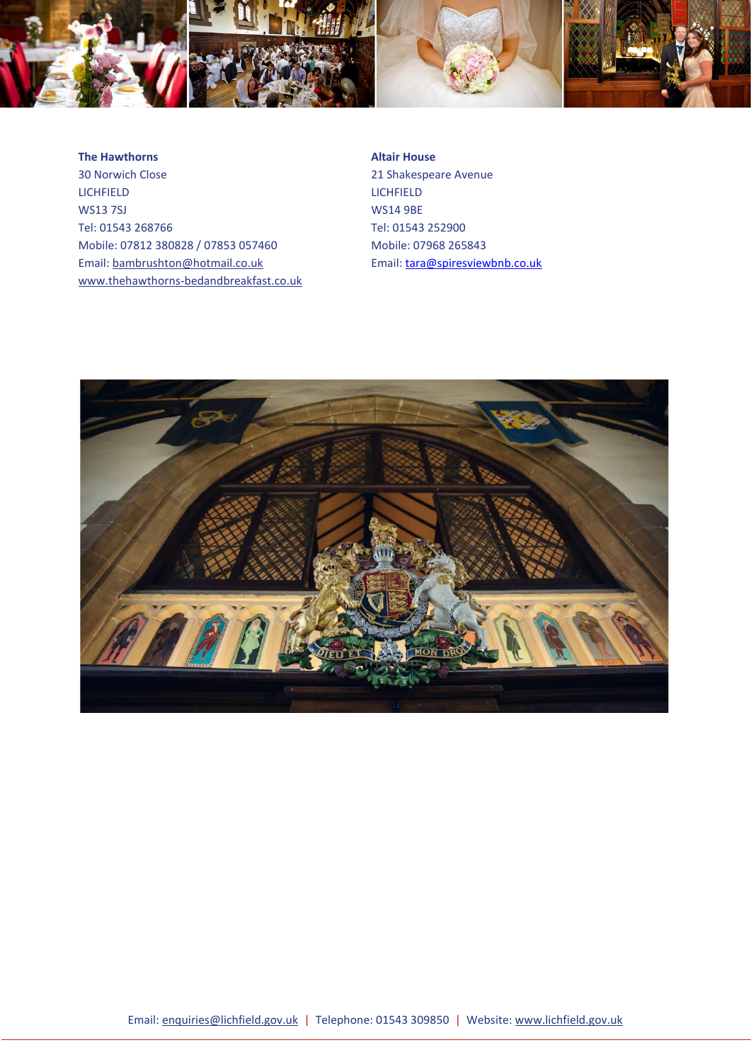

#### **The Hawthorns**

30 Norwich Close LICHFIELD WS13 7SJ Tel: 01543 268766 Mobile: 07812 380828 / 07853 057460 Email: bambrushton@hotmail.co.uk www.thehawthorns-bedandbreakfast.co.uk

**Altair House** 21 Shakespeare Avenue **LICHFIELD** WS14 9BE Tel: 01543 252900 Mobile: 07968 265843 Email[: tara@spiresviewbnb.co.uk](mailto:tara@spiresviewbnb.co.uk)

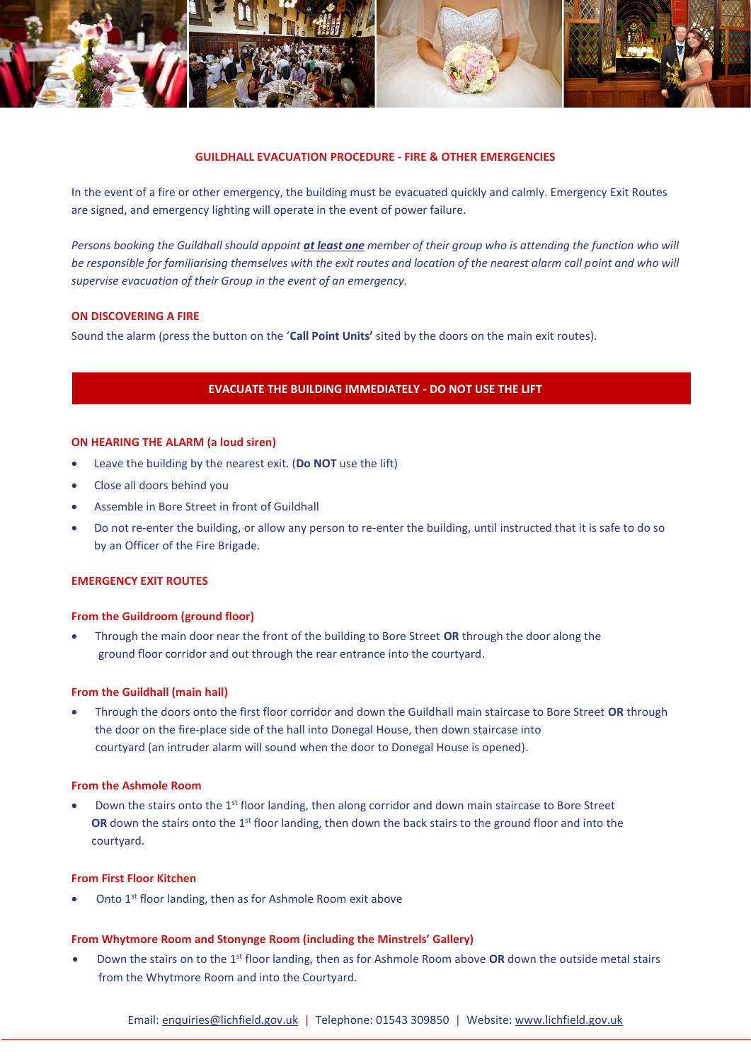

#### **GUILDHALL EVACUATION PROCEDURE - FIRE & OTHER EMERGENCIES**

In the event of a fire or other emergency, the building must be evacuated quickly and calmly. Emergency Exit Routes are signed, and emergency lighting will operate in the event of power failure.

*Persons booking the Guildhall should appoint at least one member of their group who is attending the function who will be responsible for familiarising themselves with the exit routes and location of the nearest alarm call point and who will supervise evacuation of their Group in the event of an emergency.*

### **ON DISCOVERING A FIRE**

Sound the alarm (press the button on the '**Call Point Units'** sited by the doors on the main exit routes).

# **EVACUATE THE BUILDING IMMEDIATELY - DO NOT USE THE LIFT**

#### **ON HEARING THE ALARM (a loud siren)**

- Leave the building by the nearest exit. (**Do NOT** use the lift)
- Close all doors behind you
- Assemble in Bore Street in front of Guildhall
- Do not re-enter the building, or allow any person to re-enter the building, until instructed that it is safe to do so by an Officer of the Fire Brigade.

#### **EMERGENCY EXIT ROUTES**

#### **From the Guildroom (ground floor)**

• Through the main door near the front of the building to Bore Street **OR** through the door along the ground floor corridor and out through the rear entrance into the courtyard.

#### **From the Guildhall (main hall)**

• Through the doors onto the first floor corridor and down the Guildhall main staircase to Bore Street **OR** through the door on the fire-place side of the hall into Donegal House, then down staircase into courtyard (an intruder alarm will sound when the door to Donegal House is opened).

#### **From the Ashmole Room**

• Down the stairs onto the 1st floor landing, then along corridor and down main staircase to Bore Street **OR** down the stairs onto the 1<sup>st</sup> floor landing, then down the back stairs to the ground floor and into the courtyard.

### **From First Floor Kitchen**

Onto 1<sup>st</sup> floor landing, then as for Ashmole Room exit above

#### **From Whytmore Room and Stonynge Room (including the Minstrels' Gallery)**

• Down the stairs on to the 1st floor landing, then as for Ashmole Room above **OR** down the outside metal stairs from the Whytmore Room and into the Courtyard.